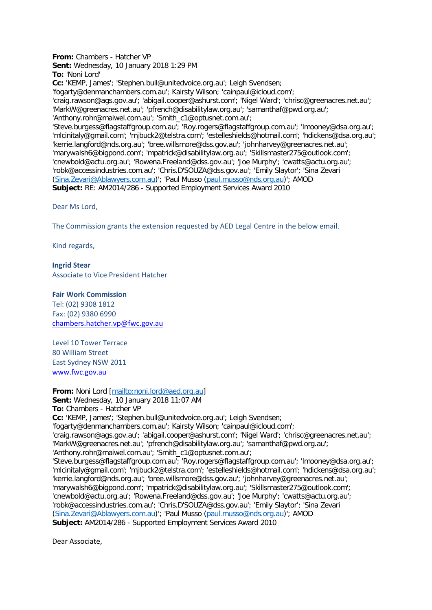**From:** Chambers - Hatcher VP **Sent:** Wednesday, 10 January 2018 1:29 PM **To:** 'Noni Lord' **Cc:** 'KEMP, James'; 'Stephen.bull@unitedvoice.org.au'; Leigh Svendsen; 'fogarty@denmanchambers.com.au'; Kairsty Wilson; 'cainpaul@icloud.com'; 'craig.rawson@ags.gov.au'; 'abigail.cooper@ashurst.com'; 'Nigel Ward'; 'chrisc@greenacres.net.au'; 'MarkW@greenacres.net.au'; 'pfrench@disabilitylaw.org.au'; 'samanthaf@pwd.org.au'; 'Anthony.rohr@maiwel.com.au'; 'Smith\_c1@optusnet.com.au'; 'Steve.burgess@flagstaffgroup.com.au'; 'Roy.rogers@flagstaffgroup.com.au'; 'lmooney@dsa.org.au'; 'mlcinitaly@gmail.com'; 'mjbuck2@telstra.com'; 'estelleshields@hotmail.com'; 'hdickens@dsa.org.au'; 'kerrie.langford@nds.org.au'; 'bree.willsmore@dss.gov.au'; 'johnharvey@greenacres.net.au'; 'marywalsh6@bigpond.com'; 'mpatrick@disabilitylaw.org.au'; 'Skillsmaster275@outlook.com'; 'cnewbold@actu.org.au'; 'Rowena.Freeland@dss.gov.au'; 'Joe Murphy'; 'cwatts@actu.org.au'; 'robk@accessindustries.com.au'; 'Chris.D'SOUZA@dss.gov.au'; 'Emily Slaytor'; 'Sina Zevari [\(Sina.Zevari@Ablawyers.com.au\)](mailto:Sina.Zevari@Ablawyers.com.au)'; 'Paul Musso [\(paul.musso@nds.org.au\)](mailto:paul.musso@nds.org.au)'; AMOD **Subject:** RE: AM2014/286 - Supported Employment Services Award 2010

Dear Ms Lord,

The Commission grants the extension requested by AED Legal Centre in the below email.

Kind regards,

## **Ingrid Stear**

Associate to Vice President Hatcher

## **Fair Work Commission**

Tel: (02) 9308 1812 Fax: (02) 9380 6990 [chambers.hatcher.vp@fwc.gov.au](mailto:chambers.hatcher.vp@fwc.gov.au) 

Level 10 Tower Terrace 80 William Street East Sydney NSW 2011 [www.fwc.gov.au](http://www.fwc.gov.au/)

**From:** Noni Lord [\[mailto:noni.lord@aed.org.au\]](mailto:noni.lord@aed.org.au) **Sent:** Wednesday, 10 January 2018 11:07 AM **To:** Chambers - Hatcher VP **Cc:** 'KEMP, James'; 'Stephen.bull@unitedvoice.org.au'; Leigh Svendsen; 'fogarty@denmanchambers.com.au'; Kairsty Wilson; 'cainpaul@icloud.com'; 'craig.rawson@ags.gov.au'; 'abigail.cooper@ashurst.com'; 'Nigel Ward'; 'chrisc@greenacres.net.au'; 'MarkW@greenacres.net.au'; 'pfrench@disabilitylaw.org.au'; 'samanthaf@pwd.org.au'; 'Anthony.rohr@maiwel.com.au'; 'Smith\_c1@optusnet.com.au'; 'Steve.burgess@flagstaffgroup.com.au'; 'Roy.rogers@flagstaffgroup.com.au'; 'lmooney@dsa.org.au'; 'mlcinitaly@gmail.com'; 'mjbuck2@telstra.com'; 'estelleshields@hotmail.com'; 'hdickens@dsa.org.au'; 'kerrie.langford@nds.org.au'; 'bree.willsmore@dss.gov.au'; 'johnharvey@greenacres.net.au'; 'marywalsh6@bigpond.com'; 'mpatrick@disabilitylaw.org.au'; 'Skillsmaster275@outlook.com'; 'cnewbold@actu.org.au'; 'Rowena.Freeland@dss.gov.au'; 'Joe Murphy'; 'cwatts@actu.org.au'; 'robk@accessindustries.com.au'; 'Chris.D'SOUZA@dss.gov.au'; 'Emily Slaytor'; 'Sina Zevari [\(Sina.Zevari@Ablawyers.com.au\)](mailto:Sina.Zevari@Ablawyers.com.au)'; 'Paul Musso [\(paul.musso@nds.org.au\)](mailto:paul.musso@nds.org.au)'; AMOD **Subject:** AM2014/286 - Supported Employment Services Award 2010

Dear Associate,